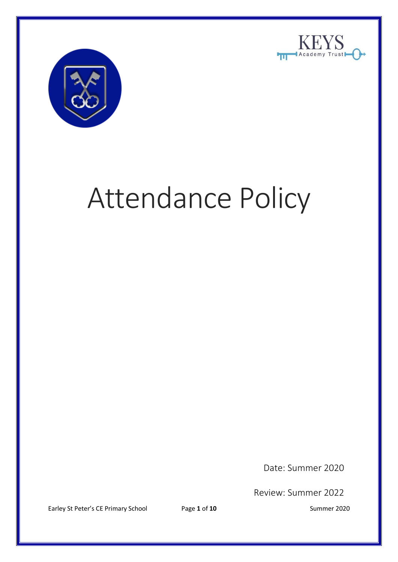



# Attendance Policy

Date: Summer 2020

Review: Summer 2022

Earley St Peter's CE Primary School Page 1 of 10 Summer 2020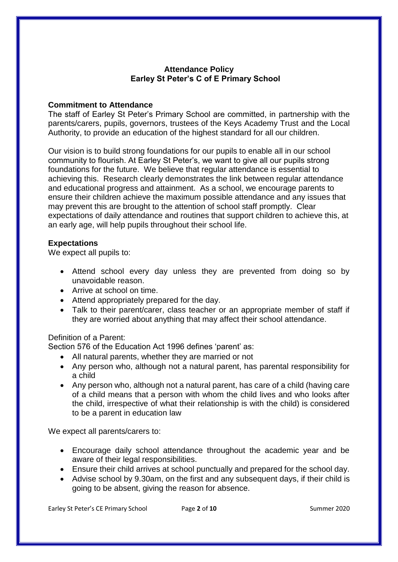## **Attendance Policy Earley St Peter's C of E Primary School**

#### **Commitment to Attendance**

The staff of Earley St Peter's Primary School are committed, in partnership with the parents/carers, pupils, governors, trustees of the Keys Academy Trust and the Local Authority, to provide an education of the highest standard for all our children.

Our vision is to build strong foundations for our pupils to enable all in our school community to flourish. At Earley St Peter's, we want to give all our pupils strong foundations for the future. We believe that regular attendance is essential to achieving this. Research clearly demonstrates the link between regular attendance and educational progress and attainment. As a school, we encourage parents to ensure their children achieve the maximum possible attendance and any issues that may prevent this are brought to the attention of school staff promptly. Clear expectations of daily attendance and routines that support children to achieve this, at an early age, will help pupils throughout their school life.

#### **Expectations**

We expect all pupils to:

- Attend school every day unless they are prevented from doing so by unavoidable reason.
- Arrive at school on time.
- Attend appropriately prepared for the day.
- Talk to their parent/carer, class teacher or an appropriate member of staff if they are worried about anything that may affect their school attendance.

## Definition of a Parent:

Section 576 of the Education Act 1996 defines 'parent' as:

- All natural parents, whether they are married or not
- Any person who, although not a natural parent, has parental responsibility for a child
- Any person who, although not a natural parent, has care of a child (having care of a child means that a person with whom the child lives and who looks after the child, irrespective of what their relationship is with the child) is considered to be a parent in education law

We expect all parents/carers to:

- Encourage daily school attendance throughout the academic year and be aware of their legal responsibilities.
- Ensure their child arrives at school punctually and prepared for the school day.
- Advise school by 9.30am, on the first and any subsequent days, if their child is going to be absent, giving the reason for absence.

Earley St Peter's CE Primary School Page 2 of 10 Summer 2020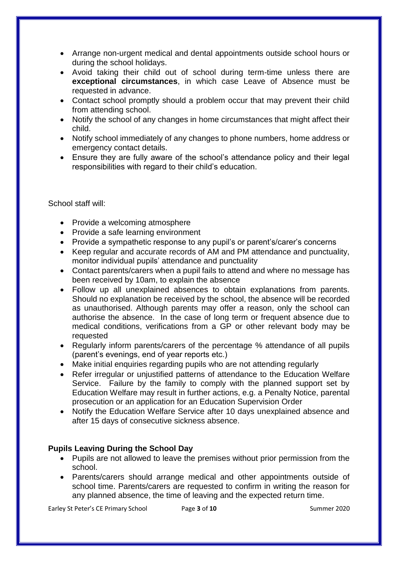- Arrange non-urgent medical and dental appointments outside school hours or during the school holidays.
- Avoid taking their child out of school during term-time unless there are **exceptional circumstances**, in which case Leave of Absence must be requested in advance.
- Contact school promptly should a problem occur that may prevent their child from attending school.
- Notify the school of any changes in home circumstances that might affect their child.
- Notify school immediately of any changes to phone numbers, home address or emergency contact details.
- Ensure they are fully aware of the school's attendance policy and their legal responsibilities with regard to their child's education.

School staff will:

- Provide a welcoming atmosphere
- Provide a safe learning environment
- Provide a sympathetic response to any pupil's or parent's/carer's concerns
- Keep regular and accurate records of AM and PM attendance and punctuality, monitor individual pupils' attendance and punctuality
- Contact parents/carers when a pupil fails to attend and where no message has been received by 10am, to explain the absence
- Follow up all unexplained absences to obtain explanations from parents. Should no explanation be received by the school, the absence will be recorded as unauthorised. Although parents may offer a reason, only the school can authorise the absence. In the case of long term or frequent absence due to medical conditions, verifications from a GP or other relevant body may be requested
- Regularly inform parents/carers of the percentage % attendance of all pupils (parent's evenings, end of year reports etc.)
- Make initial enquiries regarding pupils who are not attending regularly
- Refer irregular or unjustified patterns of attendance to the Education Welfare Service. Failure by the family to comply with the planned support set by Education Welfare may result in further actions, e.g. a Penalty Notice, parental prosecution or an application for an Education Supervision Order
- Notify the Education Welfare Service after 10 days unexplained absence and after 15 days of consecutive sickness absence.

# **Pupils Leaving During the School Day**

- Pupils are not allowed to leave the premises without prior permission from the school.
- Parents/carers should arrange medical and other appointments outside of school time. Parents/carers are requested to confirm in writing the reason for any planned absence, the time of leaving and the expected return time.

Earley St Peter's CE Primary School Page 3 of 10 Summer 2020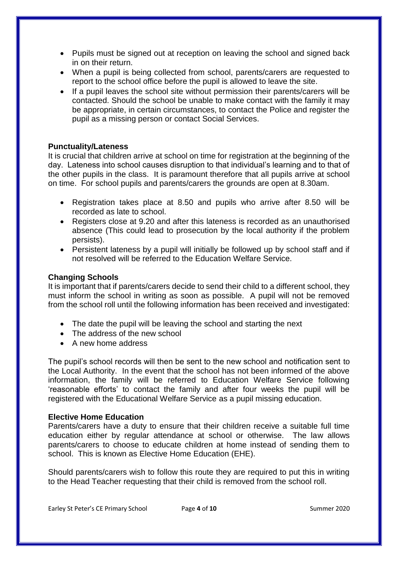- Pupils must be signed out at reception on leaving the school and signed back in on their return.
- When a pupil is being collected from school, parents/carers are requested to report to the school office before the pupil is allowed to leave the site.
- If a pupil leaves the school site without permission their parents/carers will be contacted. Should the school be unable to make contact with the family it may be appropriate, in certain circumstances, to contact the Police and register the pupil as a missing person or contact Social Services.

## **Punctuality/Lateness**

It is crucial that children arrive at school on time for registration at the beginning of the day. Lateness into school causes disruption to that individual's learning and to that of the other pupils in the class. It is paramount therefore that all pupils arrive at school on time. For school pupils and parents/carers the grounds are open at 8.30am.

- Registration takes place at 8.50 and pupils who arrive after 8.50 will be recorded as late to school.
- Registers close at 9.20 and after this lateness is recorded as an unauthorised absence (This could lead to prosecution by the local authority if the problem persists).
- Persistent lateness by a pupil will initially be followed up by school staff and if not resolved will be referred to the Education Welfare Service.

## **Changing Schools**

It is important that if parents/carers decide to send their child to a different school, they must inform the school in writing as soon as possible. A pupil will not be removed from the school roll until the following information has been received and investigated:

- The date the pupil will be leaving the school and starting the next
- The address of the new school
- A new home address

The pupil's school records will then be sent to the new school and notification sent to the Local Authority. In the event that the school has not been informed of the above information, the family will be referred to Education Welfare Service following 'reasonable efforts' to contact the family and after four weeks the pupil will be registered with the Educational Welfare Service as a pupil missing education.

#### **Elective Home Education**

Parents/carers have a duty to ensure that their children receive a suitable full time education either by regular attendance at school or otherwise. The law allows parents/carers to choose to educate children at home instead of sending them to school. This is known as Elective Home Education (EHE).

Should parents/carers wish to follow this route they are required to put this in writing to the Head Teacher requesting that their child is removed from the school roll.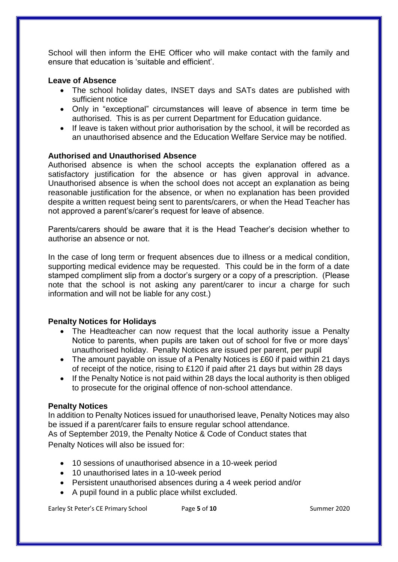School will then inform the EHE Officer who will make contact with the family and ensure that education is 'suitable and efficient'.

#### **Leave of Absence**

- The school holiday dates, INSET days and SATs dates are published with sufficient notice
- Only in "exceptional" circumstances will leave of absence in term time be authorised. This is as per current Department for Education guidance.
- If leave is taken without prior authorisation by the school, it will be recorded as an unauthorised absence and the Education Welfare Service may be notified.

## **Authorised and Unauthorised Absence**

Authorised absence is when the school accepts the explanation offered as a satisfactory justification for the absence or has given approval in advance. Unauthorised absence is when the school does not accept an explanation as being reasonable justification for the absence, or when no explanation has been provided despite a written request being sent to parents/carers, or when the Head Teacher has not approved a parent's/carer's request for leave of absence.

Parents/carers should be aware that it is the Head Teacher's decision whether to authorise an absence or not.

In the case of long term or frequent absences due to illness or a medical condition, supporting medical evidence may be requested. This could be in the form of a date stamped compliment slip from a doctor's surgery or a copy of a prescription. (Please note that the school is not asking any parent/carer to incur a charge for such information and will not be liable for any cost.)

## **Penalty Notices for Holidays**

- The Headteacher can now request that the local authority issue a Penalty Notice to parents, when pupils are taken out of school for five or more days' unauthorised holiday. Penalty Notices are issued per parent, per pupil
- The amount payable on issue of a Penalty Notices is £60 if paid within 21 days of receipt of the notice, rising to £120 if paid after 21 days but within 28 days
- If the Penalty Notice is not paid within 28 days the local authority is then obliged to prosecute for the original offence of non-school attendance.

#### **Penalty Notices**

In addition to Penalty Notices issued for unauthorised leave, Penalty Notices may also be issued if a parent/carer fails to ensure regular school attendance. As of September 2019, the Penalty Notice & Code of Conduct states that Penalty Notices will also be issued for:

- 10 sessions of unauthorised absence in a 10-week period
- 10 unauthorised lates in a 10-week period
- Persistent unauthorised absences during a 4 week period and/or
- A pupil found in a public place whilst excluded.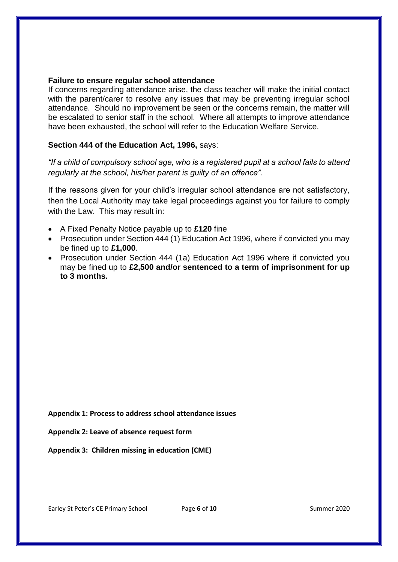#### **Failure to ensure regular school attendance**

If concerns regarding attendance arise, the class teacher will make the initial contact with the parent/carer to resolve any issues that may be preventing irregular school attendance. Should no improvement be seen or the concerns remain, the matter will be escalated to senior staff in the school. Where all attempts to improve attendance have been exhausted, the school will refer to the Education Welfare Service.

# **Section 444 of the Education Act, 1996,** says:

*"If a child of compulsory school age, who is a registered pupil at a school fails to attend regularly at the school, his/her parent is guilty of an offence".*

If the reasons given for your child's irregular school attendance are not satisfactory, then the Local Authority may take legal proceedings against you for failure to comply with the Law. This may result in:

- A Fixed Penalty Notice payable up to **£120** fine
- Prosecution under Section 444 (1) Education Act 1996, where if convicted you may be fined up to **£1,000**.
- Prosecution under Section 444 (1a) Education Act 1996 where if convicted you may be fined up to **£2,500 and/or sentenced to a term of imprisonment for up to 3 months.**

**Appendix 1: Process to address school attendance issues**

**Appendix 2: Leave of absence request form**

**Appendix 3: Children missing in education (CME)**

Earley St Peter's CE Primary School Page 6 of 10 Summer 2020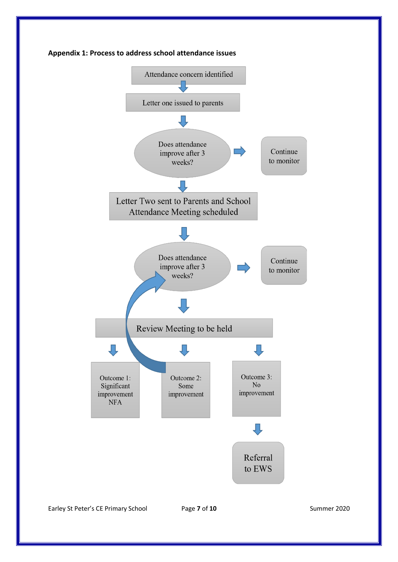



Earley St Peter's CE Primary School Page 7 of 10 Summer 2020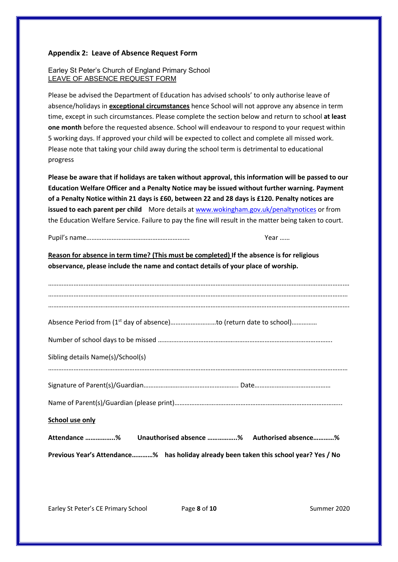#### **Appendix 2: Leave of Absence Request Form**

#### Earley St Peter's Church of England Primary School LEAVE OF ABSENCE REQUEST FORM

Please be advised the Department of Education has advised schools' to only authorise leave of absence/holidays in **exceptional circumstances** hence School will not approve any absence in term time, except in such circumstances. Please complete the section below and return to school **at least one month** before the requested absence. School will endeavour to respond to your request within 5 working days. If approved your child will be expected to collect and complete all missed work. Please note that taking your child away during the school term is detrimental to educational progress

**Please be aware that if holidays are taken without approval, this information will be passed to our Education Welfare Officer and a Penalty Notice may be issued without further warning. Payment of a Penalty Notice within 21 days is £60, between 22 and 28 days is £120. Penalty notices are issued to each parent per child** More details a[t www.wokingham.gov.uk/penaltynotices](http://www.wokingham.gov.uk/penaltynotices) or from the Education Welfare Service. Failure to pay the fine will result in the matter being taken to court.

Pupil's name……………………………………………………. Year ……

**Reason for absence in term time? (This must be completed) If the absence is for religious observance, please include the name and contact details of your place of worship.**

| Sibling details Name(s)/School(s)                                                     |
|---------------------------------------------------------------------------------------|
|                                                                                       |
|                                                                                       |
|                                                                                       |
| School use only                                                                       |
| Attendance % Unauthorised absence % Authorised absence %                              |
| Previous Year's Attendance% has holiday already been taken this school year? Yes / No |

Earley St Peter's CE Primary School Page 8 of 10 Summer 2020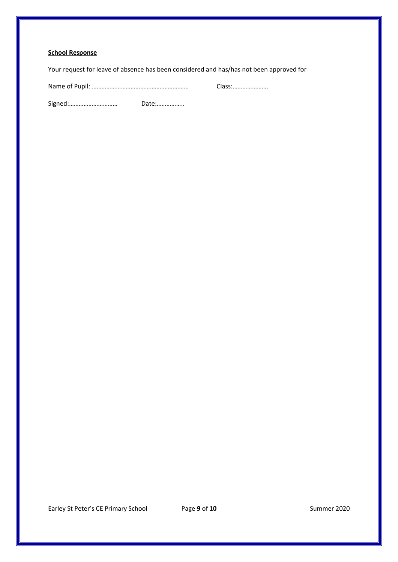#### **School Response**

Your request for leave of absence has been considered and has/has not been approved for

Name of Pupil: …………………………………………………… Class:………………….

Signed:………………………… Date:……………..